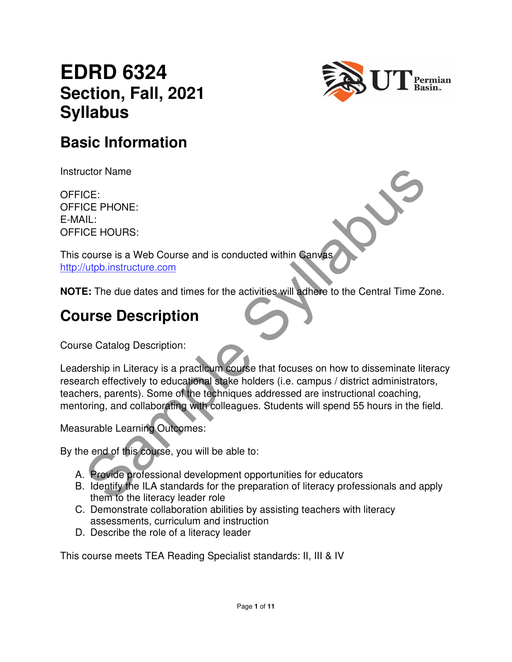# **EDRD 6324 Section, Fall, 2021 Syllabus**



## **Basic Information**

Instructor Name

OFFICE: OFFICE PHONE: E-MAIL: OFFICE HOURS:

This course is a Web Course and is conducted within Canvas http://utpb.instructure.com

**NOTE:** The due dates and times for the activities will adhere to the Central Time Zone.

## **Course Description**

Course Catalog Description:

CE:<br>
CE: PHONE:<br>
CE: PHONE:<br>
CC PHONE:<br>
CC PHONE:<br>
CC PHONE:<br>
CC PHONE:<br>
SAMPLE SAMPLE SYLLAD COURS<br>
E: The due dates and times for the activities will adhere to the Central Time Zone<br>
CHO instructure.com<br>
Second Cource of Leadership in Literacy is a practicum course that focuses on how to disseminate literacy research effectively to educational stake holders (i.e. campus / district administrators, teachers, parents). Some of the techniques addressed are instructional coaching, mentoring, and collaborating with colleagues. Students will spend 55 hours in the field.

Measurable Learning Outcomes:

By the end of this course, you will be able to:

- A. Provide professional development opportunities for educators
- B. Identify the ILA standards for the preparation of literacy professionals and apply them to the literacy leader role
- C. Demonstrate collaboration abilities by assisting teachers with literacy assessments, curriculum and instruction
- D. Describe the role of a literacy leader

This course meets TEA Reading Specialist standards: II, III & IV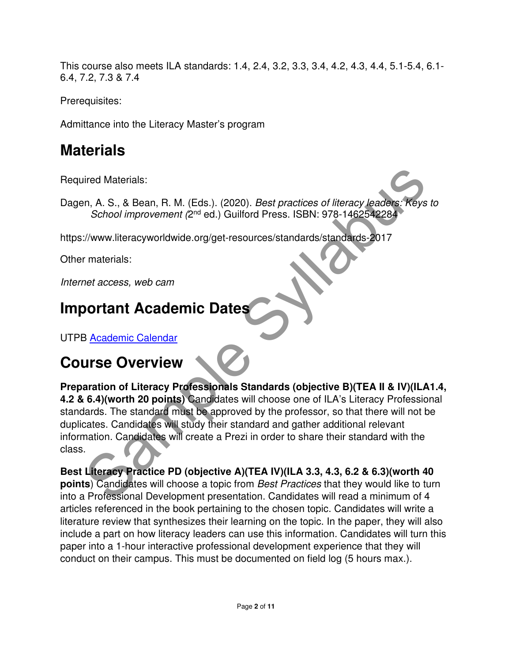This course also meets ILA standards: 1.4, 2.4, 3.2, 3.3, 3.4, 4.2, 4.3, 4.4, 5.1-5.4, 6.1- 6.4, 7.2, 7.3 & 7.4

Prerequisites:

Admittance into the Literacy Master's program

# **Materials**

Required Materials:

Dagen, A. S., & Bean, R. M. (Eds.). (2020). Best practices of literacy leaders: Keys to School improvement (2<sup>nd</sup> ed.) Guilford Press. ISBN: 978-1462542284

https://www.literacyworldwide.org/get-resources/standards/standards-2017

Other materials:

Internet access, web cam

# **Important Academic Dates**

UTPB Academic Calendar

# **Course Overview**

ired Materials:<br>
In, A. S., & Bean, R. M. (Eds.). (2020). *Best practices of literacy leaders: Keys to*<br> *School improvement (2<sup>nd</sup> ed.)* Guilford Press. ISBN: 978-1462542284<br>
://www.literacyworldwide.org/get-resources/sta **Preparation of Literacy Professionals Standards (objective B)(TEA II & IV)(ILA1.4, 4.2 & 6.4)(worth 20 points)** Candidates will choose one of ILA's Literacy Professional standards. The standard must be approved by the professor, so that there will not be duplicates. Candidates will study their standard and gather additional relevant information. Candidates will create a Prezi in order to share their standard with the class.

**Best Literacy Practice PD (objective A)(TEA IV)(ILA 3.3, 4.3, 6.2 & 6.3)(worth 40 points**) Candidates will choose a topic from Best Practices that they would like to turn into a Professional Development presentation. Candidates will read a minimum of 4 articles referenced in the book pertaining to the chosen topic. Candidates will write a literature review that synthesizes their learning on the topic. In the paper, they will also include a part on how literacy leaders can use this information. Candidates will turn this paper into a 1-hour interactive professional development experience that they will conduct on their campus. This must be documented on field log (5 hours max.).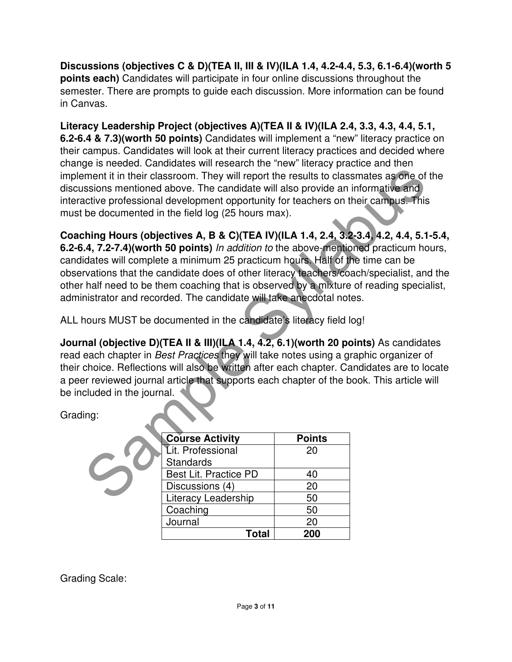**Discussions (objectives C & D)(TEA II, III & IV)(ILA 1.4, 4.2-4.4, 5.3, 6.1-6.4)(worth 5 points each)** Candidates will participate in four online discussions throughout the semester. There are prompts to guide each discussion. More information can be found in Canvas.

**Literacy Leadership Project (objectives A)(TEA II & IV)(ILA 2.4, 3.3, 4.3, 4.4, 5.1, 6.2-6.4 & 7.3)(worth 50 points)** Candidates will implement a "new" literacy practice on their campus. Candidates will look at their current literacy practices and decided where change is needed. Candidates will research the "new" literacy practice and then implement it in their classroom. They will report the results to classmates as one of the discussions mentioned above. The candidate will also provide an informative and interactive professional development opportunity for teachers on their campus. This must be documented in the field log (25 hours max).

ment it in their classroom. They will report the results to classmates as one of the metric in their classroom. They will report the results to classmates as one of the conductive professional development opportunity for t **Coaching Hours (objectives A, B & C)(TEA IV)(ILA 1.4, 2.4, 3.2-3.4, 4.2, 4.4, 5.1-5.4, 6.2-6.4, 7.2-7.4)(worth 50 points)** In addition to the above-mentioned practicum hours, candidates will complete a minimum 25 practicum hours. Half of the time can be observations that the candidate does of other literacy teachers/coach/specialist, and the other half need to be them coaching that is observed by a mixture of reading specialist, administrator and recorded. The candidate will take anecdotal notes.

ALL hours MUST be documented in the candidate's literacy field log!

**Journal (objective D)(TEA II & III)(ILA 1.4, 4.2, 6.1)(worth 20 points)** As candidates read each chapter in Best Practices they will take notes using a graphic organizer of their choice. Reflections will also be written after each chapter. Candidates are to locate a peer reviewed journal article that supports each chapter of the book. This article will be included in the journal.

Grading:

| <b>Course Activity</b> | <b>Points</b> |
|------------------------|---------------|
| Lit. Professional      | 20            |
| <b>Standards</b>       |               |
| Best Lit. Practice PD  | 40            |
| Discussions (4)        | 20            |
| Literacy Leadership    | 50            |
| Coaching               | 50            |
| Journal                | 20            |
| Total                  | 200           |

Grading Scale: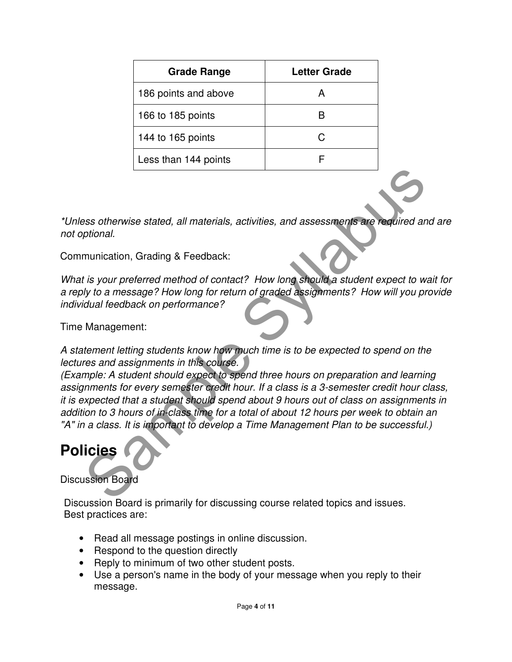| <b>Grade Range</b>   | Letter Grade |  |
|----------------------|--------------|--|
| 186 points and above |              |  |
| 166 to 185 points    |              |  |
| 144 to 165 points    |              |  |
| Less than 144 points |              |  |

\*Unless otherwise stated, all materials, activities, and assessments are required and are not optional.

Communication, Grading & Feedback:

What is your preferred method of contact? How long should a student expect to wait for a reply to a message? How long for return of graded assignments? How will you provide individual feedback on performance?

Time Management:

A statement letting students know how much time is to be expected to spend on the lectures and assignments in this course.

Sample State State And Materials, activities, and assessments are required and<br>prional.<br>
munication, Grading & Feedback:<br>
It is your preferred method of contact? How long should a student expect to wait<br>
live to a message? (Example: A student should expect to spend three hours on preparation and learning assignments for every semester credit hour. If a class is a 3-semester credit hour class, it is expected that a student should spend about 9 hours out of class on assignments in addition to 3 hours of in-class time for a total of about 12 hours per week to obtain an "A" in a class. It is important to develop a Time Management Plan to be successful.)

## **Policies**

### Discussion Board

Discussion Board is primarily for discussing course related topics and issues. Best practices are:

- Read all message postings in online discussion.
- Respond to the question directly
- Reply to minimum of two other student posts.
- Use a person's name in the body of your message when you reply to their message.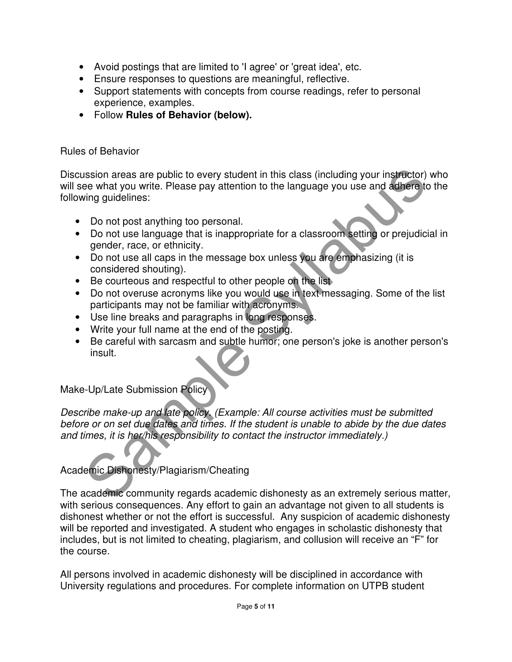- Avoid postings that are limited to 'I agree' or 'great idea', etc.
- Ensure responses to questions are meaningful, reflective.
- Support statements with concepts from course readings, refer to personal experience, examples.
- Follow **Rules of Behavior (below).**

#### Rules of Behavior

Discussion areas are public to every student in this class (including your instructor) who will see what you write. Please pay attention to the language you use and adhere to the following guidelines:

- Do not post anything too personal.
- Do not use language that is inappropriate for a classroom setting or prejudicial in gender, race, or ethnicity.
- Do not use all caps in the message box unless you are emphasizing (it is considered shouting).
- Be courteous and respectful to other people on the list
- Do not overuse acronyms like you would use in text messaging. Some of the list participants may not be familiar with acronyms.
- Use line breaks and paragraphs in long responses.
- Write your full name at the end of the posting.
- Be careful with sarcasm and subtle humor; one person's joke is another person's insult.

### Make-Up/Late Submission Policy

ission areas are public to every student in this class (including your instructor) were what you write. Please pay attention to the language you use and adinere to the language that is inappropriate for a classroom settlin Describe make-up and late policy. (Example: All course activities must be submitted before or on set due dates and times. If the student is unable to abide by the due dates and times, it is her/his responsibility to contact the instructor immediately.)

Academic Dishonesty/Plagiarism/Cheating

The academic community regards academic dishonesty as an extremely serious matter, with serious consequences. Any effort to gain an advantage not given to all students is dishonest whether or not the effort is successful. Any suspicion of academic dishonesty will be reported and investigated. A student who engages in scholastic dishonesty that includes, but is not limited to cheating, plagiarism, and collusion will receive an "F" for the course.

All persons involved in academic dishonesty will be disciplined in accordance with University regulations and procedures. For complete information on UTPB student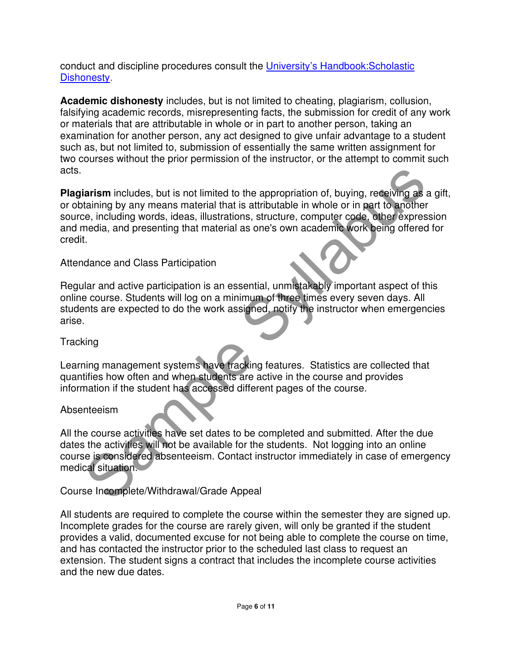conduct and discipline procedures consult the University's Handbook:Scholastic Dishonesty.

**Academic dishonesty** includes, but is not limited to cheating, plagiarism, collusion, falsifying academic records, misrepresenting facts, the submission for credit of any work or materials that are attributable in whole or in part to another person, taking an examination for another person, any act designed to give unfair advantage to a student such as, but not limited to, submission of essentially the same written assignment for two courses without the prior permission of the instructor, or the attempt to commit such acts.

**Example Syllaps** includes, but is not limited to the appropriation of, buying, receiving as a galaritation is a material that is attributable in whole or in part to another exame, including words, ideas, illustrations, st **Plagiarism** includes, but is not limited to the appropriation of, buying, receiving as a gift, or obtaining by any means material that is attributable in whole or in part to another source, including words, ideas, illustrations, structure, computer code, other expression and media, and presenting that material as one's own academic work being offered for credit.

#### Attendance and Class Participation

Regular and active participation is an essential, unmistakably important aspect of this online course. Students will log on a minimum of three times every seven days. All students are expected to do the work assigned, notify the instructor when emergencies arise.

#### **Tracking**

Learning management systems have tracking features. Statistics are collected that quantifies how often and when students are active in the course and provides information if the student has accessed different pages of the course.

### Absenteeism

All the course activities have set dates to be completed and submitted. After the due dates the activities will not be available for the students. Not logging into an online course is considered absenteeism. Contact instructor immediately in case of emergency medical situation.

### Course Incomplete/Withdrawal/Grade Appeal

All students are required to complete the course within the semester they are signed up. Incomplete grades for the course are rarely given, will only be granted if the student provides a valid, documented excuse for not being able to complete the course on time, and has contacted the instructor prior to the scheduled last class to request an extension. The student signs a contract that includes the incomplete course activities and the new due dates.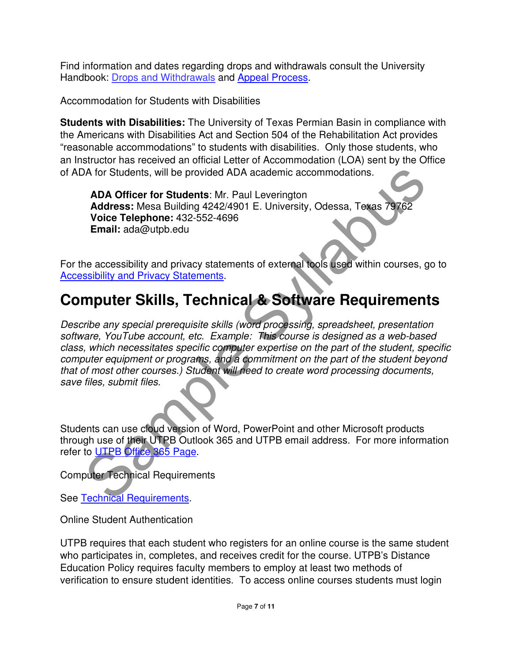Find information and dates regarding drops and withdrawals consult the University Handbook: Drops and Withdrawals and Appeal Process.

Accommodation for Students with Disabilities

**Students with Disabilities:** The University of Texas Permian Basin in compliance with the Americans with Disabilities Act and Section 504 of the Rehabilitation Act provides "reasonable accommodations" to students with disabilities. Only those students, who an Instructor has received an official Letter of Accommodation (LOA) sent by the Office of ADA for Students, will be provided ADA academic accommodations.

**ADA Officer for Students**: Mr. Paul Leverington **Address:** Mesa Building 4242/4901 E. University, Odessa, Texas 79762 **Voice Telephone:** 432-552-4696 **Email:** ada@utpb.edu

For the accessibility and privacy statements of external tools used within courses, go to Accessibility and Privacy Statements.

## **Computer Skills, Technical & Software Requirements**

NA for Students, will be provided ADA academic accommodations.<br>
ADA Officer for Students: Mr. Paul Leverington<br>
Address: Mesa Building 42424901 E. University, Odessa, Toxas 79762<br>
Voice Telephone: 432-552-4696<br>
Email: ada@ Describe any special prerequisite skills (word processing, spreadsheet, presentation software, YouTube account, etc. Example: This course is designed as a web-based class, which necessitates specific computer expertise on the part of the student, specific computer equipment or programs, and a commitment on the part of the student beyond that of most other courses.) Student will need to create word processing documents, save files, submit files.

Students can use cloud version of Word, PowerPoint and other Microsoft products through use of their UTPB Outlook 365 and UTPB email address. For more information refer to UTPB Office 365 Page.

Computer Technical Requirements

See Technical Requirements.

Online Student Authentication

UTPB requires that each student who registers for an online course is the same student who participates in, completes, and receives credit for the course. UTPB's Distance Education Policy requires faculty members to employ at least two methods of verification to ensure student identities. To access online courses students must login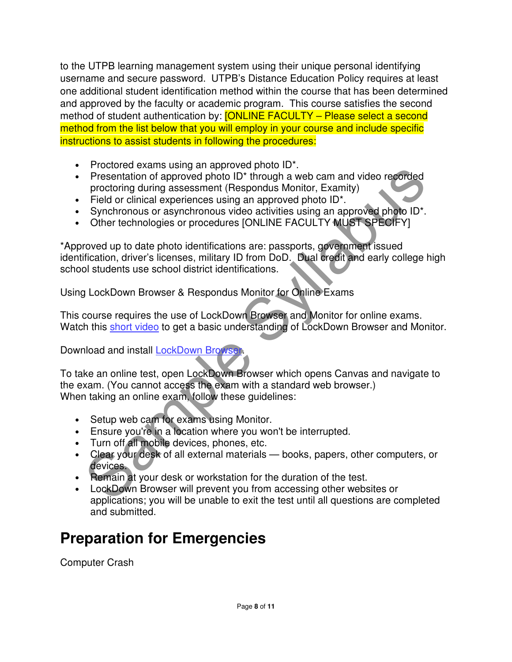to the UTPB learning management system using their unique personal identifying username and secure password. UTPB's Distance Education Policy requires at least one additional student identification method within the course that has been determined and approved by the faculty or academic program. This course satisfies the second method of student authentication by: **[ONLINE FACULTY – Please select a second** method from the list below that you will employ in your course and include specific instructions to assist students in following the procedures:

- Proctored exams using an approved photo ID\*.
- Presentation of approved photo ID<sup>\*</sup> through a web cam and video recorded proctoring during assessment (Respondus Monitor, Examity)
- Field or clinical experiences using an approved photo ID<sup>\*</sup>.
- Synchronous or asynchronous video activities using an approved photo ID\*.
- Other technologies or procedures [ONLINE FACULTY MUST SPECIFY]

Presentation of approval principle and web cam and video recorded<br>
Presentation of approved photo ID\* through a web cam and video recorded<br>
Field or clinical experiences using an approved photo ID\*.<br>
Synchronous or asynchr \*Approved up to date photo identifications are: passports, government issued identification, driver's licenses, military ID from DoD. Dual credit and early college high school students use school district identifications.

Using LockDown Browser & Respondus Monitor for Online Exams

This course requires the use of LockDown Browser and Monitor for online exams. Watch this short video to get a basic understanding of LockDown Browser and Monitor.

Download and install LockDown Browser.

To take an online test, open LockDown Browser which opens Canvas and navigate to the exam. (You cannot access the exam with a standard web browser.) When taking an online exam, follow these guidelines:

- Setup web cam for exams using Monitor.
- Ensure you're in a location where you won't be interrupted.
- Turn off all mobile devices, phones, etc.
- Clear your desk of all external materials books, papers, other computers, or devices.
- Remain at your desk or workstation for the duration of the test.
- LockDown Browser will prevent you from accessing other websites or applications; you will be unable to exit the test until all questions are completed and submitted.

# **Preparation for Emergencies**

Computer Crash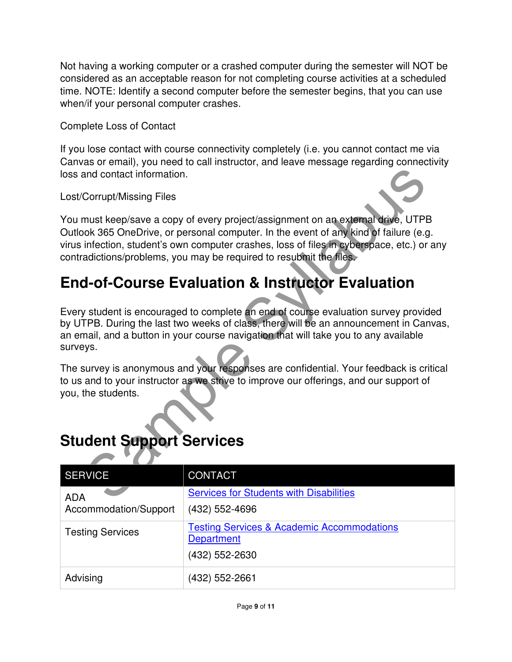Not having a working computer or a crashed computer during the semester will NOT be considered as an acceptable reason for not completing course activities at a scheduled time. NOTE: Identify a second computer before the semester begins, that you can use when/if your personal computer crashes.

Complete Loss of Contact

If you lose contact with course connectivity completely (i.e. you cannot contact me via Canvas or email), you need to call instructor, and leave message regarding connectivity loss and contact information.

Lost/Corrupt/Missing Files

and contact information.<br>
Corrupt/Missing Files<br>
must keep/save a copy of every project/assignment on an external drive, UTPB<br>
on the second computer crashes, loss of files in external drive<br>
infection, students own comput You must keep/save a copy of every project/assignment on an external drive, UTPB Outlook 365 OneDrive, or personal computer. In the event of any kind of failure (e.g. virus infection, student's own computer crashes, loss of files in cyberspace, etc.) or any contradictions/problems, you may be required to resubmit the files.

# **End-of-Course Evaluation & Instructor Evaluation**

Every student is encouraged to complete an end of course evaluation survey provided by UTPB. During the last two weeks of class, there will be an announcement in Canvas, an email, and a button in your course navigation that will take you to any available surveys.

The survey is anonymous and your responses are confidential. Your feedback is critical to us and to your instructor as we strive to improve our offerings, and our support of you, the students.

## **Student Support Services**

| <b>SERVICE</b>          | <b>CONTACT</b>                                                                               |  |
|-------------------------|----------------------------------------------------------------------------------------------|--|
| <b>ADA</b>              | <b>Services for Students with Disabilities</b>                                               |  |
| Accommodation/Support   | (432) 552-4696                                                                               |  |
| <b>Testing Services</b> | <b>Testing Services &amp; Academic Accommodations</b><br><b>Department</b><br>(432) 552-2630 |  |
| Advising                | (432) 552-2661                                                                               |  |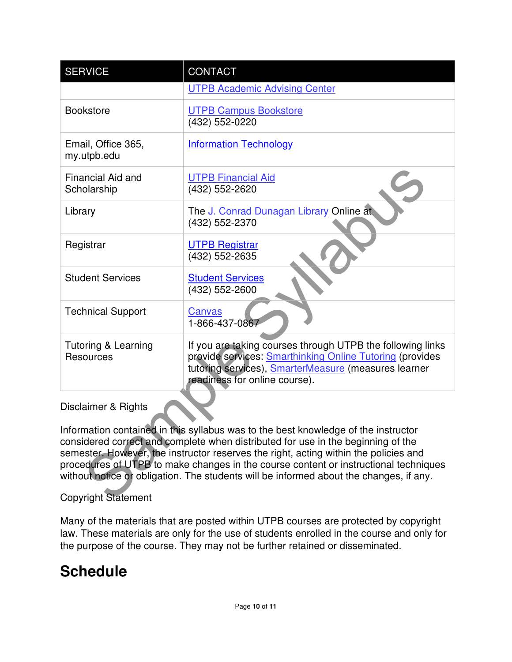| <b>SERVICE</b>                                                                                                                                                                                                                                                                                                                                                                                                                                   | CONTACT                                                                                                                                                                                                         |  |  |  |
|--------------------------------------------------------------------------------------------------------------------------------------------------------------------------------------------------------------------------------------------------------------------------------------------------------------------------------------------------------------------------------------------------------------------------------------------------|-----------------------------------------------------------------------------------------------------------------------------------------------------------------------------------------------------------------|--|--|--|
|                                                                                                                                                                                                                                                                                                                                                                                                                                                  | <b>UTPB Academic Advising Center</b>                                                                                                                                                                            |  |  |  |
| <b>Bookstore</b>                                                                                                                                                                                                                                                                                                                                                                                                                                 | <b>UTPB Campus Bookstore</b><br>(432) 552-0220                                                                                                                                                                  |  |  |  |
| Email, Office 365,<br>my.utpb.edu                                                                                                                                                                                                                                                                                                                                                                                                                | <b>Information Technology</b>                                                                                                                                                                                   |  |  |  |
| <b>Financial Aid and</b><br>Scholarship                                                                                                                                                                                                                                                                                                                                                                                                          | <b>UTPB Financial Aid</b><br>(432) 552-2620                                                                                                                                                                     |  |  |  |
| Library                                                                                                                                                                                                                                                                                                                                                                                                                                          | The J. Conrad Dunagan Library Online at<br>(432) 552-2370                                                                                                                                                       |  |  |  |
| Registrar                                                                                                                                                                                                                                                                                                                                                                                                                                        | <b>UTPB Registrar</b><br>(432) 552-2635                                                                                                                                                                         |  |  |  |
| <b>Student Services</b>                                                                                                                                                                                                                                                                                                                                                                                                                          | <b>Student Services</b><br>(432) 552-2600                                                                                                                                                                       |  |  |  |
| <b>Technical Support</b>                                                                                                                                                                                                                                                                                                                                                                                                                         | Canvas<br>1-866-437-0867                                                                                                                                                                                        |  |  |  |
| Tutoring & Learning<br><b>Resources</b>                                                                                                                                                                                                                                                                                                                                                                                                          | If you are taking courses through UTPB the following links<br>provide services: Smarthinking Online Tutoring (provides<br>tutoring services), SmarterMeasure (measures learner<br>readiness for online course). |  |  |  |
| Disclaimer & Rights                                                                                                                                                                                                                                                                                                                                                                                                                              |                                                                                                                                                                                                                 |  |  |  |
| Information contained in this syllabus was to the best knowledge of the instructor<br>considered correct and complete when distributed for use in the beginning of the<br>semester. However, the instructor reserves the right, acting within the policies and<br>procedures of UTPB to make changes in the course content or instructional techniques<br>without notice or obligation. The students will be informed about the changes, if any. |                                                                                                                                                                                                                 |  |  |  |
| <b>Copyright Statement</b>                                                                                                                                                                                                                                                                                                                                                                                                                       |                                                                                                                                                                                                                 |  |  |  |

#### Disclaimer & Rights

### Copyright Statement

Many of the materials that are posted within UTPB courses are protected by copyright law. These materials are only for the use of students enrolled in the course and only for the purpose of the course. They may not be further retained or disseminated.

### **Schedule**